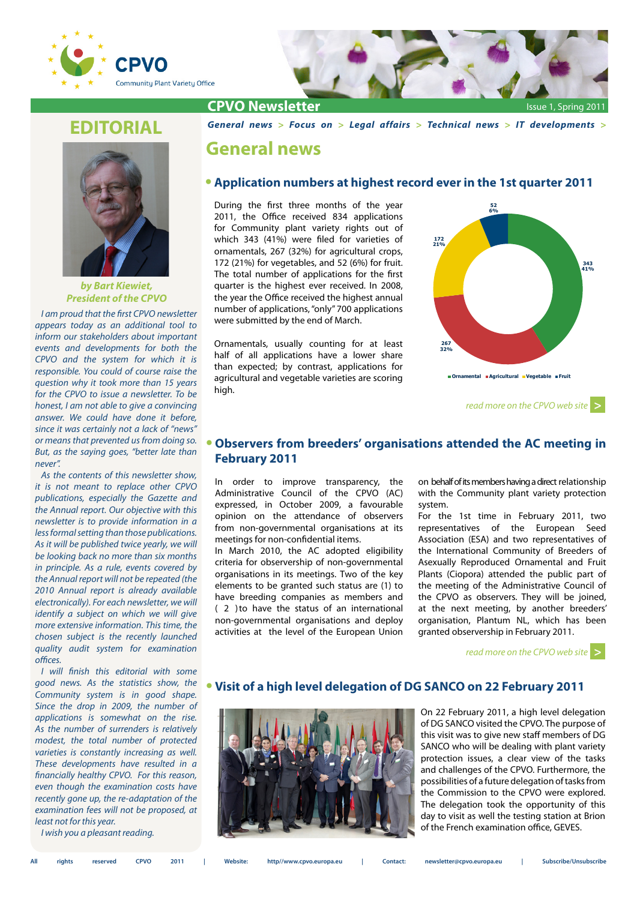



### **EDITORIAL**



*by Bart Kiewiet, President of the CPVO*

*I am proud that the first CPVO newsletter appears today as an additional tool to inform our stakeholders about important events and developments for both the CPVO and the system for which it is responsible. You could of course raise the question why it took more than 15 years for the CPVO to issue a newsletter. To be honest, I am not able to give a convincing answer. We could have done it before, since it was certainly not a lack of "news" or means that prevented us from doing so. But, as the saying goes, "better late than never".* 

*As the contents of this newsletter show, it is not meant to replace other CPVO publications, especially the Gazette and the Annual report. Our objective with this newsletter is to provide information in a less formal setting than those publications. As it will be published twice yearly, we will be looking back no more than six months in principle. As a rule, events covered by the Annual report will not be repeated (the 2010 Annual report is already available electronically). For each newsletter, we will identify a subject on which we will give more extensive information. This time, the chosen subject is the recently launched quality audit system for examination offices.* 

*I will finish this editorial with some good news. As the statistics show, the Community system is in good shape. Since the drop in 2009, the number of applications is somewhat on the rise. As the number of surrenders is relatively modest, the total number of protected varieties is constantly increasing as well. These developments have resulted in a financially healthy CPVO. For this reason, even though the examination costs have recently gone up, the re-adaptation of the examination fees will not be proposed, at least not for this year.*

*I wish you a pleasant reading.* 

#### *[General news](#page-0-0) > [Focus on](#page-1-0) > [Legal affairs](#page-3-0) > [Technical news >](#page-4-0) [IT developments](#page-5-0) >*

#### <span id="page-0-0"></span>**General news**

#### **• Application numbers at highest record ever in the 1st quarter 2011**

During the first three months of the year 2011, the Office received 834 applications for Community plant variety rights out of which 343 (41%) were filed for varieties of ornamentals, 267 (32%) for agricultural crops, 172 (21%) for vegetables, and 52 (6%) for fruit. The total number of applications for the first quarter is the highest ever received. In 2008, the year the Office received the highest annual number of applications, "only" 700 applications were submitted by the end of March.

Ornamentals, usually counting for at least half of all applications have a lower share than expected; by contrast, applications for agricultural and vegetable varieties are scoring high.



*[read more on the CPVO web site](http://www.cpvo.europa.eu/documents/ACConclusions/MCWEB022011.pdf)* **[>](http://www.cpvo.europa.eu/documents/ACConclusions/MCWEB022011.pdf)**

#### **• Observers from breeders' organisations attended the AC meeting in February 2011**

In order to improve transparency, the Administrative Council of the CPVO (AC) expressed, in October 2009, a favourable opinion on the attendance of observers from non-governmental organisations at its meetings for non-confidential items.

In March 2010, the AC adopted eligibility criteria for observership of non-governmental organisations in its meetings. Two of the key elements to be granted such status are (1) to have breeding companies as members and ( 2 ) to have the status of an international non-governmental organisations and deploy activities at the level of the European Union

on behalf of its members having a direct relationship with the Community plant variety protection system.

For the 1st time in February 2011, two representatives of the European Seed Association (ESA) and two representatives of the International Community of Breeders of Asexually Reproduced Ornamental and Fruit Plants (Ciopora) attended the public part of the meeting of the Administrative Council of the CPVO as observers. They will be joined, at the next meeting, by another breeders' organisation, Plantum NL, which has been granted observership in February 2011.

*[read more on the CPVO web site](http://www.cpvo.europa.eu/main/en/home/about-the-cpvo/administrative-council)* **[>](http://www.cpvo.europa.eu/documents/ACConclusions/MCWEB022011.pdf)**

#### **• Visit of a high level delegation of DG SANCO on 22 February 2011**



On 22 February 2011, a high level delegation of DG SANCO visited the CPVO. The purpose of this visit was to give new staff members of DG SANCO who will be dealing with plant variety protection issues, a clear view of the tasks and challenges of the CPVO. Furthermore, the possibilities of a future delegation of tasks from the Commission to the CPVO were explored. The delegation took the opportunity of this day to visit as well the testing station at Brion of the French examination office, GEVES.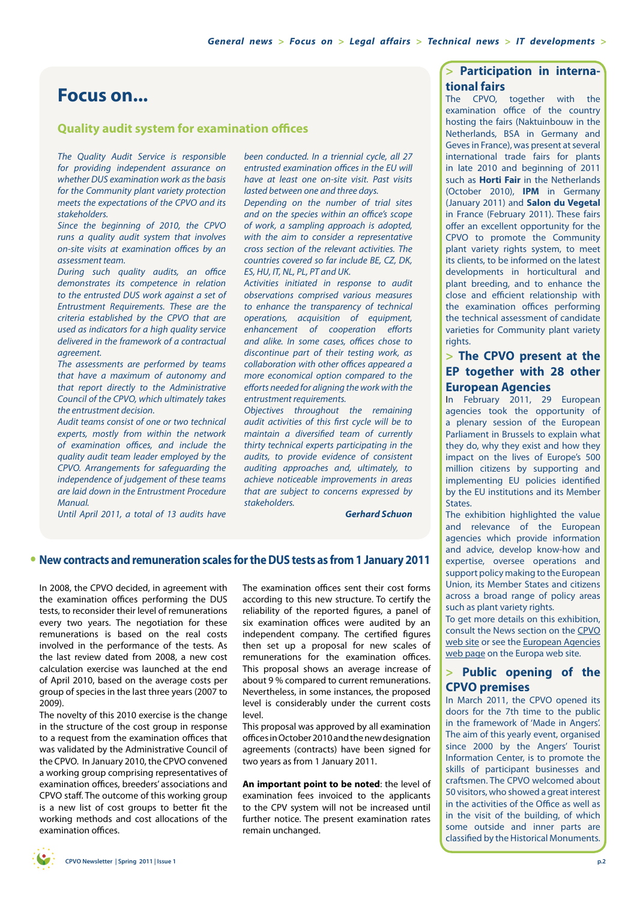### <span id="page-1-0"></span>**Focus on...**

#### **Quality audit system for examination offices**

*The Quality Audit Service is responsible for providing independent assurance on whether DUS examination work as the basis for the Community plant variety protection meets the expectations of the CPVO and its stakeholders.*

*Since the beginning of 2010, the CPVO runs a quality audit system that involves on-site visits at examination offices by an assessment team.* 

*During such quality audits, an office demonstrates its competence in relation to the entrusted DUS work against a set of Entrustment Requirements. These are the criteria established by the CPVO that are used as indicators for a high quality service delivered in the framework of a contractual agreement.*

*The assessments are performed by teams that have a maximum of autonomy and that report directly to the Administrative Council of the CPVO, which ultimately takes the entrustment decision.* 

*Audit teams consist of one or two technical experts, mostly from within the network of examination offices, and include the quality audit team leader employed by the CPVO. Arrangements for safeguarding the independence of judgement of these teams are laid down in the Entrustment Procedure Manual.*

*Until April 2011, a total of 13 audits have* 

*been conducted. In a triennial cycle, all 27 entrusted examination offices in the EU will have at least one on-site visit. Past visits lasted between one and three days.* 

*Depending on the number of trial sites and on the species within an office's scope of work, a sampling approach is adopted, with the aim to consider a representative cross section of the relevant activities. The countries covered so far include BE, CZ, DK, ES, HU, IT, NL, PL, PT and UK.* 

*Activities initiated in response to audit observations comprised various measures to enhance the transparency of technical operations, acquisition of equipment, enhancement of cooperation efforts and alike. In some cases, offices chose to discontinue part of their testing work, as collaboration with other offices appeared a more economical option compared to the efforts needed for aligning the work with the entrustment requirements.*

*Objectives throughout the remaining audit activities of this first cycle will be to maintain a diversified team of currently thirty technical experts participating in the audits, to provide evidence of consistent auditing approaches and, ultimately, to achieve noticeable improvements in areas that are subject to concerns expressed by stakeholders.* 

*Gerhard Schuon*

#### **• New contracts and remuneration scales for the DUS tests as from 1 January 2011**

In 2008, the CPVO decided, in agreement with the examination offices performing the DUS tests, to reconsider their level of remunerations every two years. The negotiation for these remunerations is based on the real costs involved in the performance of the tests. As the last review dated from 2008, a new cost calculation exercise was launched at the end of April 2010, based on the average costs per group of species in the last three years (2007 to 2009).

The novelty of this 2010 exercise is the change in the structure of the cost group in response to a request from the examination offices that was validated by the Administrative Council of the CPVO. In January 2010, the CPVO convened a working group comprising representatives of examination offices, breeders' associations and CPVO staff. The outcome of this working group is a new list of cost groups to better fit the working methods and cost allocations of the examination offices.

The examination offices sent their cost forms according to this new structure. To certify the reliability of the reported figures, a panel of six examination offices were audited by an independent company. The certified figures then set up a proposal for new scales of remunerations for the examination offices. This proposal shows an average increase of about 9 % compared to current remunerations. Nevertheless, in some instances, the proposed level is considerably under the current costs level.

This proposal was approved by all examination offices in October 2010 and the new designation agreements (contracts) have been signed for two years as from 1 January 2011.

**An important point to be noted**: the level of examination fees invoiced to the applicants to the CPV system will not be increased until further notice. The present examination rates remain unchanged.

#### **> Participation in international fairs**

The CPVO, together with the examination office of the country hosting the fairs (Naktuinbouw in the Netherlands, BSA in Germany and Geves in France), was present at several international trade fairs for plants in late 2010 and beginning of 2011 such as **Horti Fair** in the Netherlands (October 2010), **IPM** in Germany (January 2011) and **Salon du Vegetal** in France (February 2011). These fairs offer an excellent opportunity for the CPVO to promote the Community plant variety rights system, to meet its clients, to be informed on the latest developments in horticultural and plant breeding, and to enhance the close and efficient relationship with the examination offices performing the technical assessment of candidate varieties for Community plant variety rights.

#### **> The CPVO present at the EP together with 28 other European Agencies**

In February 2011, 29 European agencies took the opportunity of a plenary session of the European Parliament in Brussels to explain what they do, why they exist and how they impact on the lives of Europe's 500 million citizens by supporting and implementing EU policies identified by the EU institutions and its Member **States** 

The exhibition highlighted the value and relevance of the European agencies which provide information and advice, develop know-how and expertise, oversee operations and support policy making to the European Union, its Member States and citizens across a broad range of policy areas such as plant variety rights.

To get more details on this exhibition, consult the News section on the [CPVO](http://www.cpvo.europa.eu/main/en/home/news/conferences-and-special-events) [web site](http://www.cpvo.europa.eu/main/en/home/news/conferences-and-special-events) or see the [European Agencies](http://europa.eu/agencies/index_en.htm) [web page](http://europa.eu/agencies/index_en.htm) on the Europa web site.

#### **> Public opening of the CPVO premises**

In March 2011, the CPVO opened its doors for the 7th time to the public in the framework of 'Made in Angers'. The aim of this yearly event, organised since 2000 by the Angers' Tourist Information Center, is to promote the skills of participant businesses and craftsmen. The CPVO welcomed about 50 visitors, who showed a great interest in the activities of the Office as well as in the visit of the building, of which some outside and inner parts are classified by the Historical Monuments.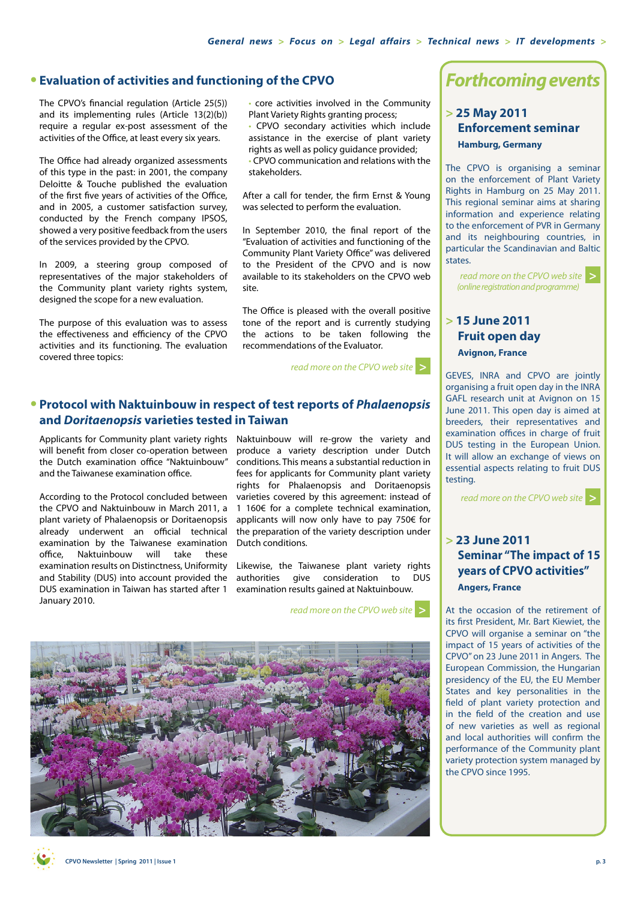#### **• Evaluation of activities and functioning of the CPVO**

The CPVO's financial regulation (Article 25(5)) and its implementing rules (Article 13(2)(b)) require a regular ex-post assessment of the activities of the Office, at least every six years.

The Office had already organized assessments of this type in the past: in 2001, the company Deloitte & Touche published the evaluation of the first five years of activities of the Office, and in 2005, a customer satisfaction survey, conducted by the French company IPSOS, showed a very positive feedback from the users of the services provided by the CPVO.

In 2009, a steering group composed of representatives of the major stakeholders of the Community plant variety rights system, designed the scope for a new evaluation.

The purpose of this evaluation was to assess the effectiveness and efficiency of the CPVO activities and its functioning. The evaluation covered three topics:

• core activities involved in the Community Plant Variety Rights granting process;

• CPVO secondary activities which include assistance in the exercise of plant variety rights as well as policy guidance provided;

• CPVO communication and relations with the stakeholders.

After a call for tender, the firm Ernst & Young was selected to perform the evaluation.

In September 2010, the final report of the "Evaluation of activities and functioning of the Community Plant Variety Office" was delivered to the President of the CPVO and is now available to its stakeholders on the CPVO web site.

The Office is pleased with the overall positive tone of the report and is currently studying the actions to be taken following the recommendations of the Evaluator.

*[read more on the CPVO web site](http://www.cpvo.europa.eu/main/en/home/documents-and-publications/evaluation-reports)* **[>](http://www.cpvo.europa.eu/main/en/home/documents-and-publications/evaluation-reports)**

#### **• Protocol with Naktuinbouw in respect of test reports of** *Phalaenopsis*  **and** *Doritaenopsis* **varieties tested in Taiwan**

Applicants for Community plant variety rights Naktuinbouw will re-grow the variety and will benefit from closer co-operation between the Dutch examination office "Naktuinbouw" and the Taiwanese examination office.

According to the Protocol concluded between the CPVO and Naktuinbouw in March 2011, a plant variety of Phalaenopsis or Doritaenopsis already underwent an official technical examination by the Taiwanese examination office, Naktuinbouw will take these DUS examination in Taiwan has started after 1 examination results gained at Naktuinbouw. January 2010.

produce a variety description under Dutch conditions. This means a substantial reduction in fees for applicants for Community plant variety rights for Phalaenopsis and Doritaenopsis varieties covered by this agreement: instead of 1 160€ for a complete technical examination, applicants will now only have to pay 750€ for the preparation of the variety description under Dutch conditions.

examination results on Distinctness, Uniformity Likewise, the Taiwanese plant variety rights and Stability (DUS) into account provided the authorities give consideration to DUS

*[read more on the CPVO web site](http://www.cpvo.europa.eu/main/en/home/news/technical-announcements/170-protocol-signed-with-naktuinbouw)* **[>](http://www.cpvo.europa.eu/main/en/home/news/technical-announcements/170-protocol-signed-with-naktuinbouw)**



### *Forthcoming events*

#### **> 25 May 2011 Enforcement seminar Hamburg, Germany**

The CPVO is organising a seminar on the enforcement of Plant Variety Rights in Hamburg on 25 May 2011. This regional seminar aims at sharing information and experience relating to the enforcement of PVR in Germany and its neighbouring countries, in particular the Scandinavian and Baltic states.

*[read more on the CPVO web site](http://www.cpvo.europa.eu/main/en/home/news/conferences-and-special-events)*  **[>](http://www.cpvo.europa.eu/main/en/home/news/conferences-and-special-events)** *(online registration and programme)*

#### **> 15 June 2011 Fruit open day Avignon, France**

GEVES, INRA and CPVO are jointly organising a fruit open day in the INRA GAFL research unit at Avignon on 15 June 2011. This open day is aimed at breeders, their representatives and examination offices in charge of fruit DUS testing in the European Union. It will allow an exchange of views on essential aspects relating to fruit DUS testing.

*[read more on the CPVO web site](http://www.cpvo.europa.eu/main/en/home/news/conferences-and-special-events)* **[>](http://www.cpvo.europa.eu/main/en/home/documents-and-publications/evaluation-reports)**

#### **> 23 June 2011 Seminar "The impact of 15 years of CPVO activities" Angers, France**

At the occasion of the retirement of its first President, Mr. Bart Kiewiet, the CPVO will organise a seminar on "the impact of 15 years of activities of the CPVO" on 23 June 2011 in Angers. The European Commission, the Hungarian presidency of the EU, the EU Member States and key personalities in the field of plant variety protection and in the field of the creation and use of new varieties as well as regional and local authorities will confirm the performance of the Community plant variety protection system managed by the CPVO since 1995.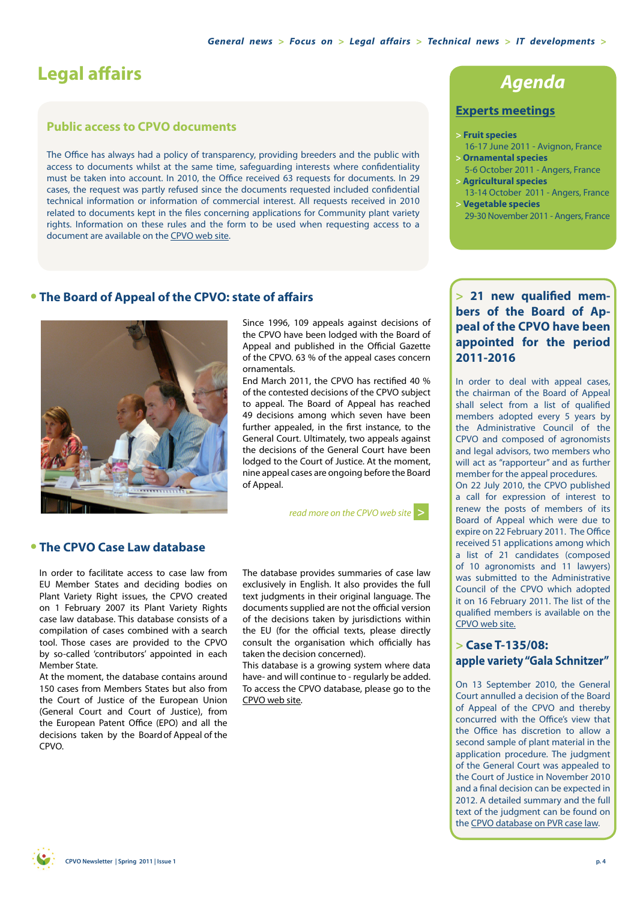# <span id="page-3-0"></span>**Legal affairs**

#### **Public access to CPVO documents**

The Office has always had a policy of transparency, providing breeders and the public with access to documents whilst at the same time, safeguarding interests where confidentiality must be taken into account. In 2010, the Office received 63 requests for documents. In 29 cases, the request was partly refused since the documents requested included confidential technical information or information of commercial interest. All requests received in 2010 related to documents kept in the files concerning applications for Community plant variety rights. Information on these rules and the form to be used when requesting access to a document are available on the [CPVO web site.](http://www.cpvo.fr/main/en/home/documents-and-publications/access-to-documents)

# *Agenda*

#### **Experts meetings**

#### **> Fruit species**

- 16-17 June 2011 Avignon, France **> Ornamental species**
- 5-6 October 2011 Angers, France **> Agricultural species**
- 13-14 October 2011 Angers, France **> Vegetable species**
- 29-30 November 2011 Angers, France

#### **• The Board of Appeal of the CPVO: state of affairs**



Since 1996, 109 appeals against decisions of the CPVO have been lodged with the Board of Appeal and published in the Official Gazette of the CPVO. 63 % of the appeal cases concern ornamentals.

End March 2011, the CPVO has rectified 40 % of the contested decisions of the CPVO subject to appeal. The Board of Appeal has reached 49 decisions among which seven have been further appealed, in the first instance, to the General Court. Ultimately, two appeals against the decisions of the General Court have been lodged to the Court of Justice. At the moment, nine appeal cases are ongoing before the Board of Appeal.

*[read more on the CPVO web site](http://www.cpvo.europa.eu/main/en/home/community-plant-variety-rights/board-of-appeal)* **[>](http://www.cpvo.europa.eu/main/en/home/community-plant-variety-rights/board-of-appeal)**

#### **• The CPVO Case Law database**

In order to facilitate access to case law from EU Member States and deciding bodies on Plant Variety Right issues, the CPVO created on 1 February 2007 its Plant Variety Rights case law database. This database consists of a compilation of cases combined with a search tool. Those cases are provided to the CPVO by so-called 'contributors' appointed in each Member State.

At the moment, the database contains around 150 cases from Members States but also from the Court of Justice of the European Union (General Court and Court of Justice), from the European Patent Office (EPO) and all the decisions taken by the Board of Appeal of the CPVO.

The database provides summaries of case law exclusively in English. It also provides the full text judgments in their original language. The documents supplied are not the official version of the decisions taken by jurisdictions within the EU (for the official texts, please directly consult the organisation which officially has taken the decision concerned).

This database is a growing system where data have- and will continue to - regularly be added. To access the CPVO database, please go to the [CPVO web site.](http://cpvoextranet.cpvo.europa.eu/WD150AWP/WD150AWP.exe/CONNECT/PVRCaseLaw)

#### **> 21 new qualified members of the Board of Appeal of the CPVO have been appointed for the period 2011-2016**

In order to deal with appeal cases, the chairman of the Board of Appeal shall select from a list of qualified members adopted every 5 years by the Administrative Council of the CPVO and composed of agronomists and legal advisors, two members who will act as "rapporteur" and as further member for the appeal procedures. On 22 July 2010, the CPVO published a call for expression of interest to renew the posts of members of its Board of Appeal which were due to expire on 22 February 2011. The Office received 51 applications among which a list of 21 candidates (composed of 10 agronomists and 11 lawyers) was submitted to the Administrative Council of the CPVO which adopted it on 16 February 2011. The list of the qualified members is available on the [CPVO web site](http://www.cpvo.europa.eu/main/en/home/community-plant-variety-rights/board-of-appeal).

#### **> Case T-135/08: apple variety "Gala Schnitzer"**

On 13 September 2010, the General Court annulled a decision of the Board of Appeal of the CPVO and thereby concurred with the Office's view that the Office has discretion to allow a second sample of plant material in the application procedure. The judgment of the General Court was appealed to the Court of Justice in November 2010 and a final decision can be expected in 2012. A detailed summary and the full text of the judgment can be found on the [CPVO database on PVR case law](http://cpvoextranet.cpvo.europa.eu/WD150AWP/WD150AWP.exe/CONNECT/PVRCaseLaw).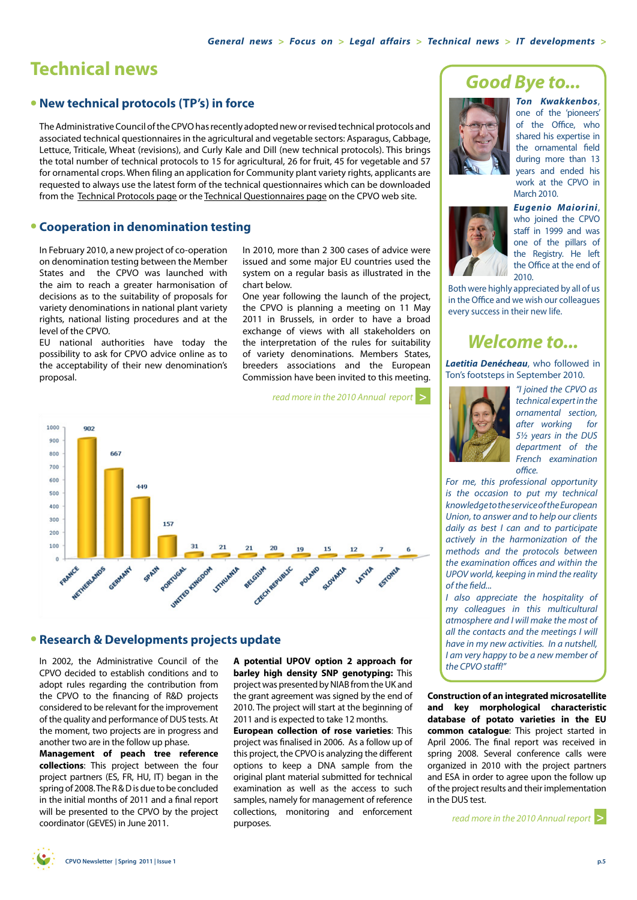## <span id="page-4-0"></span>**Technical news**

#### **• New technical protocols (TP's) in force**

The Administrative Council of the CPVO has recently adopted new or revised technical protocols and associated technical questionnaires in the agricultural and vegetable sectors: Asparagus, Cabbage, Lettuce, Triticale, Wheat (revisions), and Curly Kale and Dill (new technical protocols). This brings the total number of technical protocols to 15 for agricultural, 26 for fruit, 45 for vegetable and 57 for ornamental crops. When filing an application for Community plant variety rights, applicants are requested to always use the latest form of the technical questionnaires which can be downloaded from the [Technical Protocols page](http://www.cpvo.europa.eu/main/en/home/technical-examinations/technical-protocols) or the [Technical Questionnaires page](http://www.cpvo.europa.eu/main/en/home/filing-an-application/online-forms/technical-questionnaires) on the CPVO web site.

#### **• Cooperation in denomination testing**

In February 2010, a new project of co-operation on denomination testing between the Member States and the CPVO was launched with the aim to reach a greater harmonisation of decisions as to the suitability of proposals for variety denominations in national plant variety rights, national listing procedures and at the level of the CPVO.

EU national authorities have today the possibility to ask for CPVO advice online as to the acceptability of their new denomination's proposal.

In 2010, more than 2 300 cases of advice were issued and some major EU countries used the system on a regular basis as illustrated in the chart below.

One year following the launch of the project, the CPVO is planning a meeting on 11 May 2011 in Brussels, in order to have a broad exchange of views with all stakeholders on the interpretation of the rules for suitability of variety denominations. Members States, breeders associations and the European Commission have been invited to this meeting.

*[read more in the 2010 Annual report](http://www.cpvo.europa.eu/main/en/home/documents-and-publications/annual-reports)* **>**



#### **• Research & Developments projects update**

In 2002, the Administrative Council of the CPVO decided to establish conditions and to adopt rules regarding the contribution from the CPVO to the financing of R&D projects considered to be relevant for the improvement of the quality and performance of DUS tests. At the moment, two projects are in progress and another two are in the follow up phase.

**Management of peach tree reference collections**: This project between the four project partners (ES, FR, HU, IT) began in the spring of 2008. The R & D is due to be concluded in the initial months of 2011 and a final report will be presented to the CPVO by the project coordinator (GEVES) in June 2011.

**A potential UPOV option 2 approach for barley high density SNP genotyping:** This project was presented by NIAB from the UK and the grant agreement was signed by the end of 2010. The project will start at the beginning of 2011 and is expected to take 12 months.

**European collection of rose varieties**: This project was finalised in 2006. As a follow up of this project, the CPVO is analyzing the different options to keep a DNA sample from the original plant material submitted for technical examination as well as the access to such samples, namely for management of reference collections, monitoring and enforcement purposes.

## *Good Bye to...*



*Ton Kwakkenbos*, one of the 'pioneers' of the Office, who shared his expertise in the ornamental field during more than 13 years and ended his work at the CPVO in March 2010.



*Eugenio Maiorini*, who joined the CPVO staff in 1999 and was one of the pillars of the Registry. He left the Office at the end of 2010.

Both were highly appreciated by all of us in the Office and we wish our colleagues every success in their new life.

### *Welcome to...*

*Laetitia Denécheau*, who followed in Ton's footsteps in September 2010.



*"I joined the CPVO as technical expert in the ornamental section, after working for 5½ years in the DUS department of the French examination office.* 

*For me, this professional opportunity is the occasion to put my technical knowledge to the service of the European Union, to answer and to help our clients daily as best I can and to participate actively in the harmonization of the methods and the protocols between the examination offices and within the UPOV world, keeping in mind the reality of the field...*

*I also appreciate the hospitality of my colleagues in this multicultural atmosphere and I will make the most of all the contacts and the meetings I will have in my new activities. In a nutshell, I am very happy to be a new member of the CPVO staff!"* 

**Construction of an integrated microsatellite and key morphological characteristic database of potato varieties in the EU common catalogue**: This project started in April 2006. The final report was received in spring 2008. Several conference calls were organized in 2010 with the project partners and ESA in order to agree upon the follow up of the project results and their implementation in the DUS test.

*[read more in the 2010 Annual report](http://www.cpvo.europa.eu/main/en/home/documents-and-publications/annual-reports)* **>**